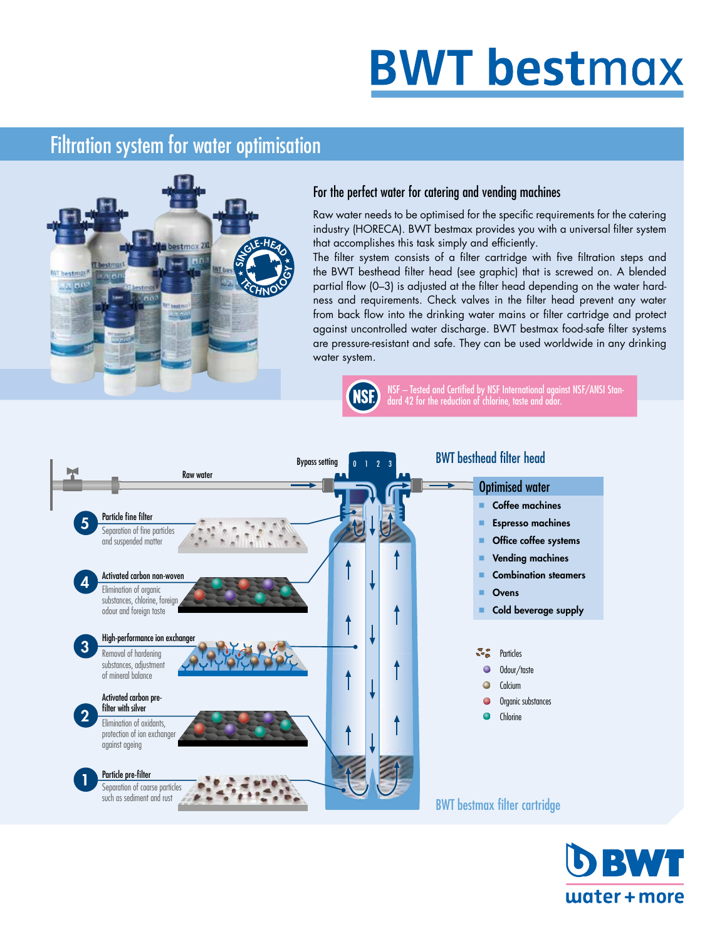# **BWT bestmax**

#### Filtration system for water optimisation



#### For the perfect water for catering and vending machines

Raw water needs to be optimised for the specific requirements for the catering industry (HORECA). BWT bestmax provides you with a universal filter system industry (HORECA). BWT bestmax provides you<br>that accomplishes this task simply and efficiently.

The filter system consists of a filter cartridge with five filtration steps and<br>the BWT besthead filter head (see graphic) that is screwed on. A blended the BWT besthead filter head (see graphic) that is screwed on. A blended partial flow (0–3) is adjusted at the filter head depending on the water hardness and requirements. Check valves in the filter head prevent any water from back flow into the drinking water mains or filter cartridge and protect against uncontrolled water discharge. BWT bestmax food-safe filter systems are pressure-resistant and safe. They can be used worldwide in any drinking water system.



NSF – Tested and Certified by NSF International against NSF/ANSI Standard 42 for the reduction of chlorine, taste and odor.



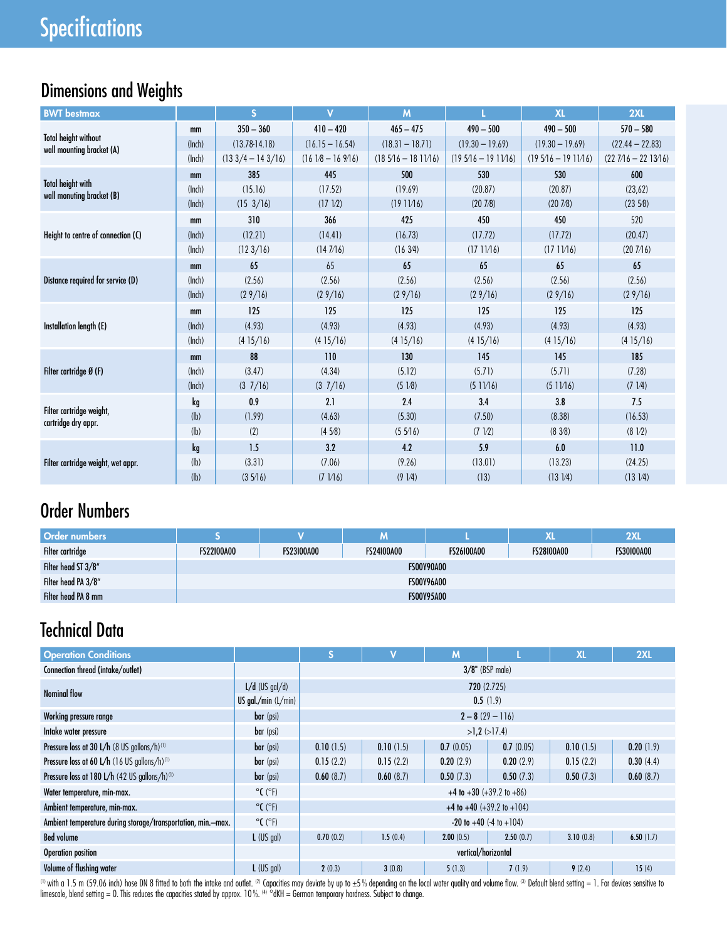### Dimensions and Weights

| <b>BWT</b> bestmax                                       |        | S                   | $\overline{\mathsf{v}}$ | M                    |                     | <b>XL</b>           | 2XL                  |
|----------------------------------------------------------|--------|---------------------|-------------------------|----------------------|---------------------|---------------------|----------------------|
|                                                          | mm     | $350 - 360$         | $410 - 420$             | $465 - 475$          | $490 - 500$         | $490 - 500$         | $570 - 580$          |
| <b>Total height without</b><br>wall mounting bracket (A) | (lnch) | $(13.78 - 14.18)$   | $(16.15 - 16.54)$       | $(18.31 - 18.71)$    | $(19.30 - 19.69)$   | $(19.30 - 19.69)$   | $(22.44 - 22.83)$    |
|                                                          | (lnch) | $(133/4 - 143/16)$  | $(1618 - 16976)$        | $(185/16 - 181)/16)$ | $(195/16 - 191)/16$ | $(195/16 - 191)/16$ | $(227/16 - 2213/16)$ |
|                                                          | mm     | 385                 | 445                     | 500                  | 530                 | 530                 | 600                  |
| <b>Total height with</b><br>wall monuting bracket (B)    | (Inch) | (15.16)             | (17.52)                 | (19.69)              | (20.87)             | (20.87)             | (23,62)              |
|                                                          | (lnch) | $(15 \frac{3}{16})$ | (17 V2)                 | (1911/16)            | (207/8)             | (207/8)             | (2358)               |
|                                                          | mm     | 310                 | 366                     | 425                  | 450                 | 450                 | 520                  |
| Height to centre of connection (C)                       | (lnch) | (12.21)             | (14.41)                 | (16.73)              | (17.72)             | (17.72)             | (20.47)              |
|                                                          | (lnch) | (123/16)            | (147/16)                | (163/4)              | (1711/16)           | (1711/16)           | (207/16)             |
|                                                          | mm     | 65                  | 65                      | 65                   | 65                  | 65                  | 65                   |
| Distance required for service (D)                        | (Inch) | (2.56)              | (2.56)                  | (2.56)               | (2.56)              | (2.56)              | (2.56)               |
|                                                          | (lnch) | (29/16)             | (29/16)                 | (29/16)              | (29/16)             | (29/16)             | (29/16)              |
|                                                          | mm     | 125                 | 125                     | 125                  | 125                 | 125                 | 125                  |
| Installation length (E)                                  | (lnch) | (4.93)              | (4.93)                  | (4.93)               | (4.93)              | (4.93)              | (4.93)               |
|                                                          | (lnch) | (415/16)            | (415/16)                | (415/16)             | (415/16)            | (415/16)            | (415/16)             |
|                                                          | mm     | 88                  | 110                     | 130                  | 145                 | 145                 | 185                  |
| Filter cartridge Ø (F)                                   | (Inch) | (3.47)              | (4.34)                  | (5.12)               | (5.71)              | (5.71)              | (7.28)               |
|                                                          | (lnch) | (37/16)             | $(3 \t1/16)$            | (51/8)               | (511/16)            | (511/16)            | (71/4)               |
|                                                          | kg     | 0.9                 | 2.1                     | 2.4                  | 3.4                 | 3.8                 | 7.5                  |
| Filter cartridge weight,<br>cartridge dry appr.          | (h)    | (1.99)              | (4.63)                  | (5.30)               | (7.50)              | (8.38)              | (16.53)              |
|                                                          | (h)    | (2)                 | (4.58)                  | (55/16)              | (7 V2)              | (838)               | $(8\ 1/2)$           |
|                                                          | kg     | 1.5                 | 3.2                     | 4.2                  | 5.9                 | 6.0                 | 11.0                 |
| Filter cartridge weight, wet appr.                       | (h)    | (3.31)              | (7.06)                  | (9.26)               | (13.01)             | (13.23)             | (24.25)              |
|                                                          | (lb)   | (35/16)             | $(7 \, 1/16)$           | $(9 \frac{1}{4})$    | (13)                | (131/4)             | $(13 \frac{1}{4})$   |

#### Order Numbers

| <b>Order numbers</b> |                   |                   | M                 |                   | <b>XL</b>         | <b>2XL</b>        |
|----------------------|-------------------|-------------------|-------------------|-------------------|-------------------|-------------------|
| Filter cartridge     | <b>FS22100A00</b> | <b>FS23100A00</b> | <b>FS24100A00</b> | <b>FS26100A00</b> | <b>FS28100A00</b> | <b>FS30100A00</b> |
| Filter head ST 3/8"  |                   |                   |                   | <b>FS00Y90A00</b> |                   |                   |
| Filter head PA 3/8"  |                   |                   |                   | <b>FS00Y96A00</b> |                   |                   |
| Filter head PA 8 mm  |                   |                   |                   | <b>FS00Y95A00</b> |                   |                   |

#### Technical Data

| <b>Operation Conditions</b>                                  |                              | S.                 | v         | M                                   |           | <b>XL</b> | 2XL       |  |
|--------------------------------------------------------------|------------------------------|--------------------|-----------|-------------------------------------|-----------|-----------|-----------|--|
| Connection thread (intake/outlet)                            |                              | $3/8$ " (BSP male) |           |                                     |           |           |           |  |
| <b>Nominal flow</b>                                          | $L/d$ (US gal/d)             |                    |           | 720 (2.725)                         |           |           |           |  |
|                                                              | US gal./min $(L/min)$        | 0.5(1.9)           |           |                                     |           |           |           |  |
| Working pressure range                                       | bar (psi)                    |                    |           | $2 - 8(29 - 116)$                   |           |           |           |  |
| Intake water pressure                                        | bar (psi)                    |                    |           | $>1.2$ ( $>17.4$ )                  |           |           |           |  |
| Pressure loss at 30 L/h (8 US gallons/h) <sup>(1)</sup>      | bar (psi)                    | 0.10(1.5)          | 0.10(1.5) | 0.7(0.05)                           | 0.7(0.05) | 0.10(1.5) | 0.20(1.9) |  |
| Pressure loss at 60 L/h (16 US gallons/h) <sup>(1)</sup>     | bar (psi)                    | 0.15(2.2)          | 0.15(2.2) | 0.20(2.9)                           | 0.20(2.9) | 0.15(2.2) | 0.30(4.4) |  |
| Pressure loss at 180 L/h (42 US gallons/h) <sup>(1)</sup>    | bar (psi)                    | 0.60(8.7)          | 0.60(8.7) | 0.50(7.3)                           | 0.50(7.3) | 0.50(7.3) | 0.60(8.7) |  |
| Water temperature, min-max.                                  | $^{\circ}$ C ( $^{\circ}$ F) |                    |           | $+4$ to $+30$ ( $+39.2$ to $+86$ )  |           |           |           |  |
| Ambient temperature, min-max.                                | $^{\circ}$ C ( $^{\circ}$ F) |                    |           | $+4$ to $+40$ ( $+39.2$ to $+104$ ) |           |           |           |  |
| Ambient temperature during storage/transportation, min.-max. | $^{\circ}$ C ( $^{\circ}$ F) |                    |           | $-20$ to $+40$ $(-4)$ to $+104$     |           |           |           |  |
| <b>Bed volume</b>                                            | $L$ (US gal)                 | 0.70(0.2)          | 1.5(0.4)  | 2.00(0.5)                           | 2.50(0.7) | 3.10(0.8) | 6.50(1.7) |  |
| vertical/horizontal<br>Operation position                    |                              |                    |           |                                     |           |           |           |  |
| Volume of flushing water                                     | $L$ (US gal)                 | 2(0.3)             | 3(0.8)    | 5(1.3)                              | 7(1.9)    | 9(2.4)    | 15(4)     |  |

 $^{\text{\tiny{(1)}}}$  with a 1.5 m (59.06 inch) hose DN 8 fitted to both the intake and outlet. (2) Capacities may deviate by up to ±5 % depending on the local water quality and volume flow. (3) Default blend setting = 1. For devic limescale, blend setting = 0. This reduces the capacities stated by approx. 10%. <sup>(4)</sup> °dKH = German temporary hardness. Subject to change.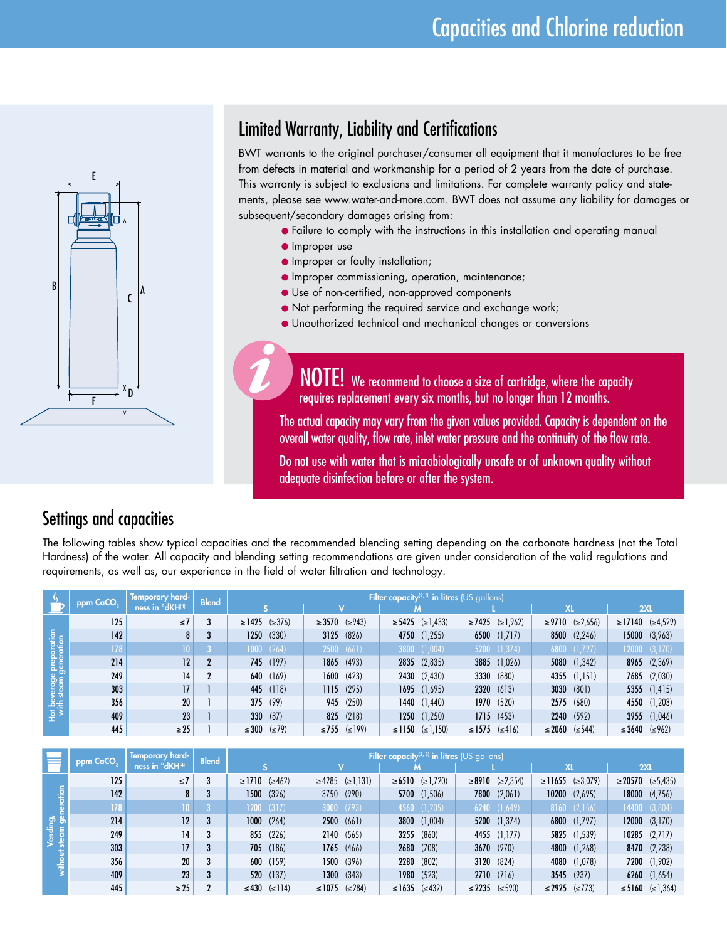

#### Limited Warranty, Liability and Certifications

BWT warrants to the original purchaser/consumer all equipment that it manufactures to be free from defects in material and workmanship for a period of 2 years from the date of purchase. This warranty is subject to exclusions and limitations. For complete warranty policy and statements, please see www.water-and-more.com. BWT does not assume any liability for damages or subsequent/secondary damages arising from:

- **•** Failure to comply with the instructions in this installation and operating manual
- **Improper use**
- **Improper or faulty installation;**
- Improper commissioning, operation, maintenance;
- Use of non-certified, non-approved components
- Not performing the required service and exchange work;
- Unauthorized technical and mechanical changes or conversions

NOTE! We recommend to choose a size of cartridge, where the capacity requires replacement every six months, but no longer than 12 months.

The actual capacity may vary from the given values provided.Capacity is dependent on the overall water quality, flow rate, inlet water pressure and the continuity of the flow rate.

Do not use with water that is microbiologically unsafe or of unknown quality without adequate disinfection before or after the system.

#### Settings and capacities

The following tables show typical capacities and the recommended blending setting depending on the carbonate hardness (not the Total Hardness) of the water. All capacity and blending setting recommendations are given under consideration of the valid regulations and requirements, as well as, our experience in the field of water filtration and technology.

|                | ppm CaCO <sub>3</sub> | Temporary hard-             | <b>Blend</b> |                           | Filter capacity <sup>(2, 3)</sup> in litres (US gallons) |                              |                             |                             |                              |  |
|----------------|-----------------------|-----------------------------|--------------|---------------------------|----------------------------------------------------------|------------------------------|-----------------------------|-----------------------------|------------------------------|--|
|                |                       | ness in <sup>o</sup> dKH(4) |              |                           |                                                          |                              |                             | <b>XL</b>                   | 2XL                          |  |
|                | 125                   | $\leq 7$                    |              | $\geq$ 1425 ( $\geq$ 376) | $\geq$ 3570 ( $\geq$ 943)                                | $\geq 5425$ ( $\geq 1,433$ ) | $\geq$ 7425 ( $\geq$ 1,962) | $\geq$ 9710 ( $\geq$ 2,656) | $\geq$ 17140 ( $\geq$ 4,529) |  |
| ration<br>tion | 142                   |                             |              | 1250(330)                 | 3125(826)                                                | 4750 (1,255)                 | $6500$ (1,717)              | $8500$ $(2,246)$            | $15000$ $(3,963)$            |  |
|                | 178                   |                             |              | 1000 (264)                | 2500 (661)                                               | $3800$ $(1,004)$             | $5200$ $(1,374)$            | $6800$ (1,797)              | 12000 (3,170)                |  |
|                | 214                   | 12 <sup>1</sup>             | $\mathbf 2$  | 745 (197)                 | 1865 (493)                                               | $2835$ $(2,835)$             | 3885 (1,026)                | 5080 (1,342)                | $8965$ $(2,369)$             |  |
|                | 249                   | 14                          |              | 640 (169)                 | 1600 (423)                                               | $2430$ $(2,430)$             | <b>3330</b> (880)           | $4355$ $(1,151)$            | $7685$ $(2,030)$             |  |
|                | 303                   | 17                          |              | 445 (118)                 | 1115(295)                                                | $1695$ (1,695)               | 2320 (613)                  | 3030 (801)                  | $5355$ $(1,415)$             |  |
| ≗≗             | 356                   | 20                          |              | 375(99)                   | 945 (250)                                                | 1440 $(1,440)$               | 1970 (520)                  | 2575<br>(680)               | 4550 (1,203)                 |  |
| 星              | 409                   | 23                          |              | 330(87)                   | 825 (218)                                                | $1250$ (1,250)               | 1715(453)                   | 2240 (592)                  | 3955 (1,046)                 |  |
|                | 445                   | $\geq$ 25                   |              | ≤300 (≤79)                | ≤755 (≤199)                                              | $\leq$ 1150 ( $\leq$ 1,150)  | $\leq$ 1575 ( $\leq$ 416)   | $\leq 2060$ ( $\leq 544$ )  | $\leq 3640 \leq 962$         |  |

|   | ppm CaCO <sub>2</sub> | Temporary hard-1 | <b>Blend</b>   |                           |                                     | Filter capacity <sup><math>(2, 3)</math></sup> in litres (US gallons) |                              |                              |                               |
|---|-----------------------|------------------|----------------|---------------------------|-------------------------------------|-----------------------------------------------------------------------|------------------------------|------------------------------|-------------------------------|
|   |                       | ness in °dKH(4)  |                |                           |                                     |                                                                       |                              | XL                           | 2XL                           |
|   | 125                   | $\leq 7$         | $\overline{3}$ | $\geq$ 1710 ( $\geq$ 462) | $\geq 4285 \leq  \geq 1,131\rangle$ | $\ge 6510$ ( $\ge 1,720$ )                                            | $\geq 8910$ ( $\geq 2,354$ ) | $\geq$ 11655 ( $\geq$ 3,079) | $\geq 20570$ ( $\geq 5,435$ ) |
|   | 142                   |                  | 3              | (396)<br>1500             | 3750 (990)                          | 5700 (1,506)                                                          | $7800$ $(2,061)$             | $10200$ $(2,695)$            | 18000 (4,756)                 |
|   | 178                   | 10               |                | $1200$ $(317)$            | 3000 (793)                          | 4560 (1,205)                                                          | $6240$ $(1,649)$             | $8160$ $(2,156)$             | $14400$ $(3,804)$             |
| ஜ | 214                   | 12 <sup>2</sup>  | 3              | 1000 (264)                | 2500(661)                           | 3800 (1,004)                                                          | 5200 (1,374)                 | $6800$ $(1,797)$             | $12000 \quad (3,170)$         |
|   | 249                   | 14               | 3              | 855 (226)                 | 2140 (565)                          | (860)<br>3255                                                         | 4455 (1,177)                 | 5825 (1,539)                 | $10285$ $(2,717)$             |
|   | 303                   | 17 <sup>2</sup>  | 3              | 705 (186)                 | 1765(466)                           | 2680 (708)                                                            | 3670 (970)                   | 4800 (1,268)                 | 8470 (2,238)                  |
|   | 356                   | 20               | 3              | 600 (159)                 | 1500(396)                           | 2280 (802)                                                            | 3120 (824)                   | 4080 (1,078)                 | 7200 (1,902)                  |
|   | 409                   | 23               |                | $520$ (137)               | $1300 \quad (343)$                  | 1980 (523)                                                            | $2710$ (716)                 | 3545 (937)                   | $6260$ $(1,654)$              |
|   | 445                   | $\geq$ 25        |                | ≤430 (≤114)               | ≤1075 (≤284)                        | ≤1635 (≤432)                                                          | $\leq$ 2235 ( $\leq$ 590)    | ≤2925 (≤773)                 | ≤5160 $(≤1,364)$              |